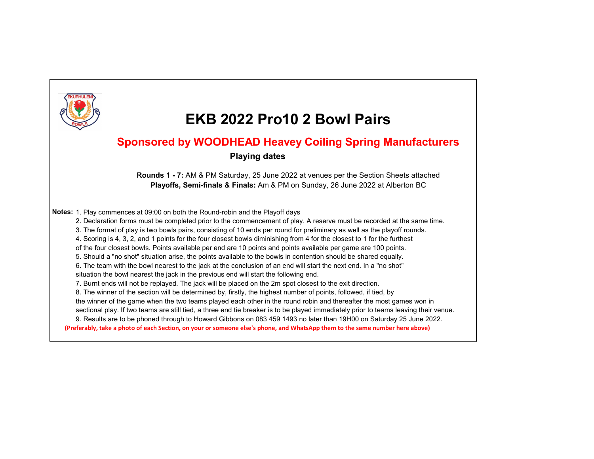

### Sponsored by WOODHEAD Heavey Coiling Spring Manufacturers

#### Playing dates

Rounds 1 - 7: AM & PM Saturday, 25 June 2022 at venues per the Section Sheets attached Playoffs, Semi-finals & Finals: Am & PM on Sunday, 26 June 2022 at Alberton BC

Notes: 1. Play commences at 09:00 on both the Round-robin and the Playoff days

2. Declaration forms must be completed prior to the commencement of play. A reserve must be recorded at the same time.

3. The format of play is two bowls pairs, consisting of 10 ends per round for preliminary as well as the playoff rounds.

4. Scoring is 4, 3, 2, and 1 points for the four closest bowls diminishing from 4 for the closest to 1 for the furthest

of the four closest bowls. Points available per end are 10 points and points available per game are 100 points.

5. Should a "no shot" situation arise, the points available to the bowls in contention should be shared equally.

6. The team with the bowl nearest to the jack at the conclusion of an end will start the next end. In a "no shot"

situation the bowl nearest the jack in the previous end will start the following end.

7. Burnt ends will not be replayed. The jack will be placed on the 2m spot closest to the exit direction.

8. The winner of the section will be determined by, firstly, the highest number of points, followed, if tied, by

the winner of the game when the two teams played each other in the round robin and thereafter the most games won in

sectional play. If two teams are still tied, a three end tie breaker is to be played immediately prior to teams leaving their venue.

9. Results are to be phoned through to Howard Gibbons on 083 459 1493 no later than 19H00 on Saturday 25 June 2022.

(Preferably, take a photo of each Section, on your or someone else's phone, and WhatsApp them to the same number here above)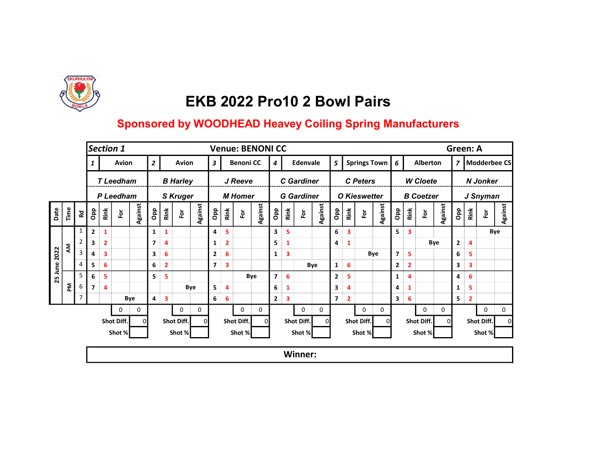

|      |                      |                |                |                         | Section 1       |          |                         |                |                         |         |                  |                         |                      | <b>Venue: BENONI CC</b> |                |                         |                      |         |                |                         |                        |                     |                |                         |                  |          | Green: A       |              |                 |              |
|------|----------------------|----------------|----------------|-------------------------|-----------------|----------|-------------------------|----------------|-------------------------|---------|------------------|-------------------------|----------------------|-------------------------|----------------|-------------------------|----------------------|---------|----------------|-------------------------|------------------------|---------------------|----------------|-------------------------|------------------|----------|----------------|--------------|-----------------|--------------|
|      |                      |                |                |                         | Avion           |          | $\overline{2}$          |                | Avion                   |         | $\boldsymbol{3}$ |                         | <b>Benoni CC</b>     |                         | 4              |                         | Edenvale             |         | 5              |                         |                        | <b>Springs Town</b> | 6              |                         | <b>Alberton</b>  |          | $\overline{z}$ |              |                 | Modderbee CS |
|      |                      |                |                |                         | <b>TLeedham</b> |          |                         |                | <b>B Harley</b>         |         |                  |                         | J Reeve              |                         |                |                         | <b>C</b> Gardiner    |         |                |                         | <b>C</b> Peters        |                     |                |                         | <b>W</b> Cloete  |          |                |              | <b>N</b> Jonker |              |
|      |                      |                |                |                         | P Leedham       |          |                         |                | <b>S Kruger</b>         |         |                  |                         | <b>M</b> Homer       |                         |                |                         | <b>G</b> Gardiner    |         |                |                         | <b>O</b> Kieswetter    |                     |                |                         | <b>B</b> Coetzer |          |                |              | J Snyman        |              |
| Date | $\tilde{\mathsf{T}}$ | 运              | Opp            | Rink                    | Ĕ               | Against  | Opp                     | Rink           | $\overline{\mathbf{e}}$ | Against | Opp              | Rink                    | $\tilde{\mathbf{e}}$ | Against                 | <b>a</b> do    | Rink                    | $\tilde{\mathbf{e}}$ | Against | Opp            | Rink                    | $\overline{\tilde{e}}$ | Against             | <b>a</b> p     | Rink                    | 호                | Against  | Opp            | Rink         | Fοr             | Against      |
|      |                      | 1              | 2              | 1                       |                 |          | 1                       | 1              |                         |         | 4                | 5                       |                      |                         | 3              | 5                       |                      |         | 6              | $\overline{\mathbf{3}}$ |                        |                     | 5.             | $\overline{\mathbf{3}}$ |                  |          |                |              |                 | Bye          |
|      | ξ                    | $\overline{2}$ | 3              | $\overline{\mathbf{2}}$ |                 |          | $\overline{\mathbf{z}}$ | 4              |                         |         | 1                | $\overline{\mathbf{2}}$ |                      |                         | 5              | 1                       |                      |         | 4              | $\mathbf{1}$            |                        |                     |                |                         |                  | Bye      | $\mathbf{2}$   | 4            |                 |              |
| 2022 |                      | 3              | 4              | 3                       |                 |          | 3                       | 6              |                         |         | $\mathbf{2}$     | 6                       |                      |                         | 1              | 3                       |                      |         |                |                         |                        | Bye                 | $\overline{7}$ | 5                       |                  |          | 6              | 5            |                 |              |
| June |                      | 4              | 5              | 6                       |                 |          | 6                       | $\overline{2}$ |                         |         | 7 <sup>1</sup>   | 3                       |                      |                         |                |                         |                      | Bye     | 1              | 6                       |                        |                     | $\mathbf{2}$   | $\overline{2}$          |                  |          | 3              | 3            |                 |              |
| 25   |                      | 5              | 6              | 5                       |                 |          | 5                       | 5              |                         |         |                  |                         |                      | Bye                     | $\overline{7}$ | 6                       |                      |         | $\mathbf{2}$   | 5                       |                        |                     | 1              | 4                       |                  |          | 4              | 6            |                 |              |
|      | 좀                    | 6              | $\overline{ }$ | 4                       |                 |          |                         |                |                         | Bye     | 5                | 4                       |                      |                         | 6              | $\mathbf{1}$            |                      |         | 3              | 4                       |                        |                     | 4              | 1                       |                  |          | 1              | 5            |                 |              |
|      |                      | 7              |                |                         |                 | Bye      | 4                       | 3              |                         |         | 6 <sup>1</sup>   | 6                       |                      |                         | $\overline{2}$ | $\overline{\mathbf{3}}$ |                      |         | $\overline{ }$ | $\overline{\mathbf{2}}$ |                        |                     | 3              | 6                       |                  |          | 5              | $\mathbf{2}$ |                 |              |
|      |                      |                |                |                         | 0               | 0        |                         |                | $\mathbf{0}$            | 0       |                  |                         | $\mathbf 0$          | 0                       |                |                         | 0                    | 0       |                |                         | 0                      | 0                   |                |                         | 0                | 0        |                |              | 0               | 0            |
|      |                      |                |                |                         | Shot Diff.      | $\Omega$ |                         |                | Shot Diff.              | 0       |                  |                         | Shot Diff.           | 0l                      |                |                         | Shot Diff.           |         |                |                         | Shot Diff.             | οI                  |                |                         | Shot Diff.       | $\Omega$ |                |              | Shot Diff.      |              |
|      |                      |                |                |                         | Shot %          |          |                         |                | Shot %                  |         |                  |                         | Shot %               |                         |                |                         | Shot %               |         |                |                         | Shot %                 |                     |                |                         | Shot %           |          |                |              | Shot %          |              |
|      |                      |                |                |                         |                 |          |                         |                |                         |         |                  |                         |                      |                         |                |                         | Winner:              |         |                |                         |                        |                     |                |                         |                  |          |                |              |                 |              |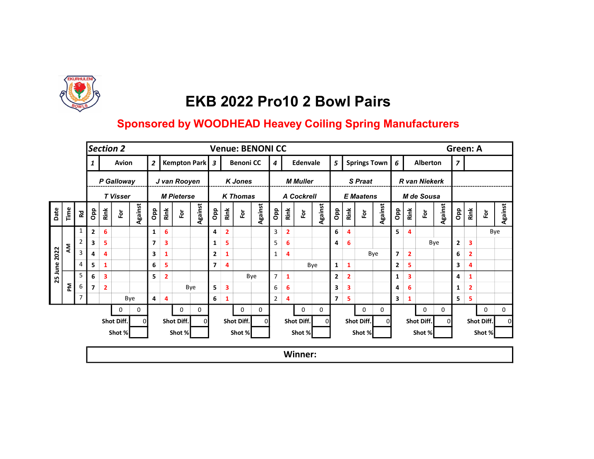

|      |      |                |                |              | Section 2       |                |                |                         |                         |                |                         |                         |                  | <b>Venue: BENONI CC</b> |                |                |                         |         |                |   |                |                  |              |                 |                |                      |          | <b>Green: A</b> |                |            |         |
|------|------|----------------|----------------|--------------|-----------------|----------------|----------------|-------------------------|-------------------------|----------------|-------------------------|-------------------------|------------------|-------------------------|----------------|----------------|-------------------------|---------|----------------|---|----------------|------------------|--------------|-----------------|----------------|----------------------|----------|-----------------|----------------|------------|---------|
|      |      |                |                |              | Avion           |                | $\overline{2}$ |                         |                         | Kempton Park 3 |                         |                         | <b>Benoni CC</b> |                         | 4              |                | Edenvale                |         | 5              |   |                |                  | Springs Town | $6\overline{6}$ |                | <b>Alberton</b>      |          | $\overline{z}$  |                |            |         |
|      |      |                |                |              | P Galloway      |                |                |                         | J van Rooyen            |                |                         |                         | <b>K</b> Jones   |                         |                |                | <b>M</b> Muller         |         |                |   |                | <b>S</b> Praat   |              |                 |                | <b>R</b> van Niekerk |          |                 |                |            |         |
|      |      |                |                |              | <b>T</b> Visser |                |                |                         | <b>M Pieterse</b>       |                |                         |                         | <b>K</b> Thomas  |                         |                |                | A Cockrell              |         |                |   |                | <b>E</b> Maatens |              |                 |                | M de Sousa           |          |                 |                |            |         |
| Date | Time | <b>Rd</b>      | Opp            | Rink         | 应               | <b>Against</b> | <b>a</b> p     | Rink                    | $\overline{\mathbf{e}}$ | <b>Against</b> | <b>Opp</b>              | Rink                    | 호                | <b>Against</b>          | <b>a</b> p     | Rink           | $\overline{\mathbf{e}}$ | Against | <b>a</b> d     |   | Rink           | Ĕ                | Against      | Opp             | Rink           | 훈                    | Against  | <b>ado</b>      | Rink           | For        | Against |
|      |      | 1              | $\overline{2}$ | 6            |                 |                | 1              | 6                       |                         |                | 4                       | $\overline{\mathbf{2}}$ |                  |                         | 3              | $\overline{2}$ |                         |         | 6              | 4 |                |                  |              | 5               | $\overline{4}$ |                      |          |                 |                |            | Bye     |
|      | ξ    | $\overline{2}$ | 3              | 5            |                 |                | 7              | $\overline{\mathbf{3}}$ |                         |                | 1                       | 5                       |                  |                         | 5              | 6              |                         |         | 4              |   | 6              |                  |              |                 |                |                      | Bye      | $\mathbf{2}$    | 3              |            |         |
| 2022 |      | 3              | 4              | 4            |                 |                | 3              | 1                       |                         |                | $\mathbf{2}$            | 1                       |                  |                         | $\mathbf{1}$   | 4              |                         |         |                |   |                |                  | Bye          | $\overline{7}$  | $\overline{2}$ |                      |          | 6               | $\overline{2}$ |            |         |
| June |      | 4              | 5              | 1            |                 |                | 6              | 5                       |                         |                | $\overline{\mathbf{z}}$ | 4                       |                  |                         |                |                |                         | Bye     | $\mathbf{1}$   |   | $\mathbf{1}$   |                  |              | $\mathbf{2}$    | 5              |                      |          | 3               | 4              |            |         |
| 25   |      | 5              | 6              | 3            |                 |                | 5              | $\overline{2}$          |                         |                |                         |                         |                  | Bye                     | $\overline{7}$ | $\mathbf{1}$   |                         |         | $\mathbf{2}$   |   | $\overline{2}$ |                  |              | 1               | 3              |                      |          | 4               | 1              |            |         |
|      | 론    | 6              | $\overline{7}$ | $\mathbf{2}$ |                 |                |                |                         |                         | Bye            | 5                       | 3                       |                  |                         | 6              | 6              |                         |         | 3              |   | 3              |                  |              | 4               | 6              |                      |          | 1               | $\mathbf{2}$   |            |         |
|      |      | $\overline{7}$ |                |              |                 | Bye            | 4              | $\overline{4}$          |                         |                | 6 <sup>1</sup>          | $\mathbf{1}$            |                  |                         | $\overline{2}$ | 4              |                         |         | $\overline{ }$ |   | 5              |                  |              | 3               | 1              |                      |          | 5               | 5              |            |         |
|      |      |                |                |              | 0               | 0              |                |                         | $\mathbf 0$             | 0              |                         |                         | $\mathbf 0$      | 0                       |                |                | 0                       | 0       |                |   |                | 0                | 0            |                 |                | 0                    | 0        |                 |                | 0          | 0       |
|      |      |                |                |              | Shot Diff.      | $\Omega$       |                |                         | Shot Diff.              | 01             |                         |                         | Shot Diff.       | ΩI                      |                |                | Shot Diff.              |         |                |   |                | Shot Diff.       | ΩI           |                 |                | Shot Diff.           | $\Omega$ |                 |                | Shot Diff. |         |
|      |      |                |                |              | Shot %          |                |                |                         | Shot %                  |                |                         |                         | Shot %           |                         |                |                | Shot %                  |         |                |   |                | Shot %           |              |                 |                | Shot %               |          |                 |                | Shot %     |         |
|      |      |                |                |              |                 |                |                |                         |                         |                |                         |                         |                  |                         |                |                | Winner:                 |         |                |   |                |                  |              |                 |                |                      |          |                 |                |            |         |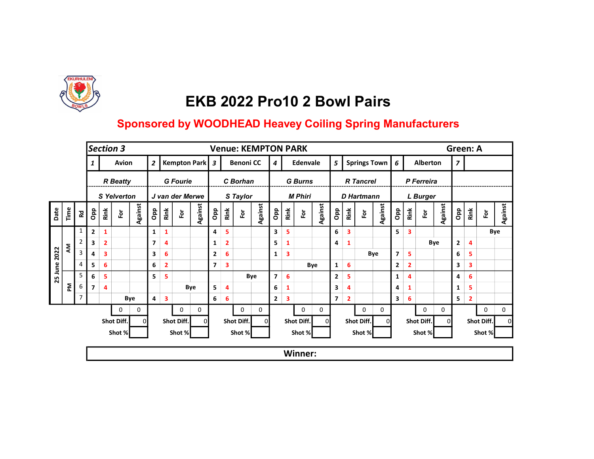

|      |      |                |                          |                | Section 3       |                |                |                |                         |                 |                |                |                  | <b>Venue: KEMPTON PARK</b> |                |      |                      |         |                |                |                   |                     |                |                         |                 |          | Green: A     |                |            |         |
|------|------|----------------|--------------------------|----------------|-----------------|----------------|----------------|----------------|-------------------------|-----------------|----------------|----------------|------------------|----------------------------|----------------|------|----------------------|---------|----------------|----------------|-------------------|---------------------|----------------|-------------------------|-----------------|----------|--------------|----------------|------------|---------|
|      |      |                |                          |                | Avion           |                | $\overline{2}$ |                |                         | Kempton Park 3  |                |                | <b>Benoni CC</b> |                            | 4              |      | Edenvale             |         | 5              |                |                   | <b>Springs Town</b> | 6              |                         | <b>Alberton</b> |          | 7            |                |            |         |
|      |      |                |                          |                | <b>R</b> Beatty |                |                |                | <b>G</b> Fourie         |                 |                |                | C Borhan         |                            |                |      | <b>G</b> Burns       |         |                |                | <b>R</b> Tancrel  |                     |                |                         | P Ferreira      |          |              |                |            |         |
|      |      |                |                          |                | S Yelverton     |                |                |                |                         | J van der Merwe |                |                | S Taylor         |                            |                |      | <b>M Phiri</b>       |         |                |                | <b>D</b> Hartmann |                     |                |                         | <b>L</b> Burger |          |              |                |            |         |
| Date | Time | <b>Rd</b>      | Opp                      | Rink           | 应               | <b>Against</b> | <b>a</b> p     | Rink           | $\overline{\mathbf{e}}$ | Against         | <b>a</b> p     | Rink           | 효                | <b>Against</b>             | <b>a</b> p     | Rink | $\tilde{\mathbf{e}}$ | Against | <b>a</b> p     | Rink           | ē                 | <b>Against</b>      | <b>a</b> do    | Rink                    | 훈               | Against  | <b>a</b> p   | Rink           | For        | Against |
|      |      | 1              | $\overline{2}$           | 1              |                 |                | 1              | 1              |                         |                 | 4              | 5              |                  |                            | 3              | 5    |                      |         | 6              | 3              |                   |                     | 5              | $\overline{\mathbf{3}}$ |                 |          |              |                |            | Bye     |
|      | ξ    | $\overline{2}$ | 3                        | $\overline{2}$ |                 |                | 7              | $\overline{4}$ |                         |                 | 1              | $\overline{2}$ |                  |                            | 5              | 1    |                      |         | 4              | $\mathbf{1}$   |                   |                     |                |                         |                 | Bye      | $\mathbf{2}$ | 4              |            |         |
| 2022 |      | 3              | 4                        | 3              |                 |                | 3              | 6              |                         |                 | $\mathbf{2}$   | 6              |                  |                            | 1              | 3    |                      |         |                |                |                   | Bye                 | $\overline{7}$ | 5                       |                 |          | 6            | 5              |            |         |
| June |      | $\overline{4}$ | 5                        | 6              |                 |                | 6              | $\overline{2}$ |                         |                 | $\overline{ }$ | 3              |                  |                            |                |      |                      | Bye     | 1              | 6              |                   |                     | $\mathbf{2}$   | $\overline{2}$          |                 |          | 3            | 3              |            |         |
| 25   |      | 5              | 6                        | 5              |                 |                | 5              | 5              |                         |                 |                |                |                  | Bye                        | $\overline{7}$ | 6    |                      |         | $\mathbf{2}$   | 5              |                   |                     | 1              | $\overline{4}$          |                 |          | 4            | 6              |            |         |
|      | 론    | 6              | $\overline{\phantom{a}}$ | 4              |                 |                |                |                |                         | Bye             | 5              | 4              |                  |                            | 6              | 1    |                      |         | 3              | 4              |                   |                     | 4              | 1                       |                 |          | 1            | 5              |            |         |
|      |      | $\overline{7}$ |                          |                |                 | Bye            | 4              | 3              |                         |                 | 6              | 6              |                  |                            | $\mathbf{2}$   | 3    |                      |         | $\overline{ }$ | $\overline{2}$ |                   |                     | 3              | 6                       |                 |          | 5            | $\overline{2}$ |            |         |
|      |      |                |                          |                | 0               | 0              |                |                | 0                       | 0               |                |                | 0                | 0                          |                |      | 0                    | 0       |                |                | 0                 | 0                   |                |                         | 0               | 0        |              |                | 0          | 0       |
|      |      |                |                          |                | Shot Diff.      | $\Omega$       |                |                | Shot Diff.              | $\Omega$        |                |                | Shot Diff.       | $\Omega$                   |                |      | Shot Diff.           |         |                |                | Shot Diff.        | ΩI                  |                |                         | Shot Diff.      | $\Omega$ |              |                | Shot Diff. |         |
|      |      |                |                          |                | Shot %          |                |                |                | Shot %                  |                 |                |                | Shot %           |                            |                |      | Shot %               |         |                |                | Shot %            |                     |                |                         | Shot %          |          |              |                | Shot %     |         |
|      |      |                |                          |                |                 |                |                |                |                         |                 |                |                |                  |                            |                |      | Winner:              |         |                |                |                   |                     |                |                         |                 |          |              |                |            |         |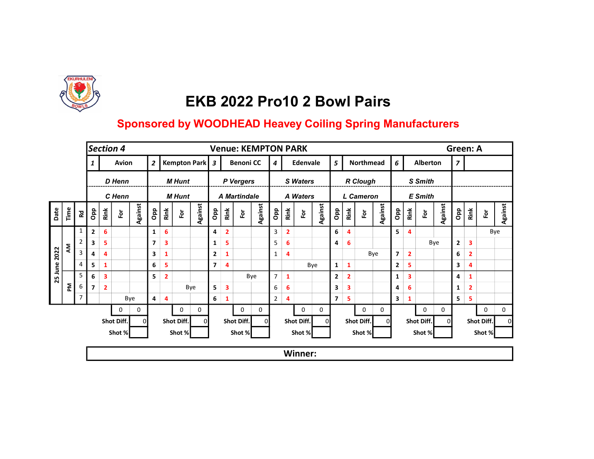

|      |      |                |                          |                         | Section 4            |         |                |                         |                |          |                |                | <b>Venue: KEMPTON PARK</b> |         |                |              |                 |         |                         |                |                  |         |                |                         |                         |          | Green: A       |              |            |         |
|------|------|----------------|--------------------------|-------------------------|----------------------|---------|----------------|-------------------------|----------------|----------|----------------|----------------|----------------------------|---------|----------------|--------------|-----------------|---------|-------------------------|----------------|------------------|---------|----------------|-------------------------|-------------------------|----------|----------------|--------------|------------|---------|
|      |      |                |                          |                         | Avion                |         | $\overline{2}$ |                         | Kempton Park 3 |          |                |                | <b>Benoni CC</b>           |         | 4              |              | Edenvale        |         | 5                       |                | <b>Northmead</b> |         | 6              |                         | Alberton                |          | 7              |              |            |         |
|      |      |                |                          |                         | D Henn               |         |                |                         | <b>M</b> Hunt  |          |                |                | P Vergers                  |         |                |              | <b>S</b> Waters |         |                         |                | <b>R</b> Clough  |         |                |                         | S Smith                 |          |                |              |            |         |
|      |      |                |                          |                         | C Henn               |         |                |                         | <b>M</b> Hunt  |          |                |                | A Martindale               |         |                |              | A Waters        |         |                         |                | L Cameron        |         |                |                         | <b>E</b> Smith          |          |                |              |            |         |
| Date | Time | 5g             | Opp                      | Rink                    | $\tilde{\mathbf{e}}$ | Against | Opp            | Rink                    | $\bf \bar{e}$  | Against  | <b>Opp</b>     | Rink           | è                          | Against | <b>ado</b>     | Rink         | $\bf \bar{e}$   | Against | <b>a</b> p              | Rink           | έŏ               | Against | ado            | Rink                    | $\overline{\mathsf{P}}$ | Against  | <b>a</b> do    | Rink         | For        | Against |
|      |      | 1              | $\overline{2}$           | 6                       |                      |         | 1              | 6                       |                |          | 4              | $\overline{2}$ |                            |         | 3              | $\mathbf{2}$ |                 |         | 6                       | 4              |                  |         | 5.             | 4                       |                         |          |                |              |            | Bye     |
|      | ξ    | $\overline{2}$ | 3                        | 5                       |                      |         | 7              | $\overline{\mathbf{3}}$ |                |          | 1              | 5              |                            |         | 5              | 6            |                 |         | 4                       | 6              |                  |         |                |                         |                         | Bye      | $\overline{2}$ | 3            |            |         |
| 2022 |      | 3              | 4                        | 4                       |                      |         | 3              | 1                       |                |          | $\overline{2}$ | 1              |                            |         | $\mathbf{1}$   | 4            |                 |         |                         |                |                  | Bye     | $\overline{7}$ | $\overline{2}$          |                         |          | 6              | 2            |            |         |
| June |      | 4              | 5                        | 1                       |                      |         | 6              | 5                       |                |          | $\overline{7}$ | 4              |                            |         |                |              |                 | Bye     | 1                       | $\mathbf{1}$   |                  |         | $\mathbf{2}$   | 5                       |                         |          | 3              | 4            |            |         |
| 25   |      | 5              | 6                        | $\overline{\mathbf{3}}$ |                      |         | 5              | $\overline{\mathbf{2}}$ |                |          |                |                | Bye                        |         | $\overline{7}$ | $\mathbf{1}$ |                 |         | $\mathbf{2}$            | $\overline{2}$ |                  |         | $\mathbf{1}$   | $\overline{\mathbf{3}}$ |                         |          | 4              | 1            |            |         |
|      | 혼    | 6              | $\overline{\phantom{a}}$ | $\mathbf{2}$            |                      |         |                |                         |                | Bye      | 5              | 3              |                            |         | 6              | 6            |                 |         | 3                       | 3              |                  |         | 4              | 6                       |                         |          | 1              | $\mathbf{2}$ |            |         |
|      |      | $\overline{7}$ |                          |                         |                      | Bye     | 4              | 4                       |                |          | 6              | 1              |                            |         | $\overline{2}$ | 4            |                 |         | $\overline{\mathbf{z}}$ | 5              |                  |         | 3              | 1                       |                         |          | 5              | 5            |            |         |
|      |      |                |                          |                         | 0                    | 0       |                |                         | 0              | 0        |                |                | 0                          | 0       |                |              | 0               | 0       |                         |                | 0                | 0       |                |                         | 0                       | 0        |                |              | 0          | 0       |
|      |      |                |                          |                         | Shot Diff.           |         |                |                         | Shot Diff.     | $\Omega$ |                |                | Shot Diff.                 | ΩI      |                |              | Shot Diff.      | ΩI      |                         |                | Shot Diff.       | ΩI      |                |                         | Shot Diff.              | $\Omega$ |                |              | Shot Diff. |         |
|      |      |                |                          |                         | Shot %               |         |                |                         | Shot %         |          |                |                | Shot %                     |         |                |              | Shot %          |         |                         |                | Shot %           |         |                |                         | Shot %                  |          |                |              | Shot %     |         |
|      |      |                |                          |                         |                      |         |                |                         |                |          |                |                |                            |         |                |              | Winner:         |         |                         |                |                  |         |                |                         |                         |          |                |              |            |         |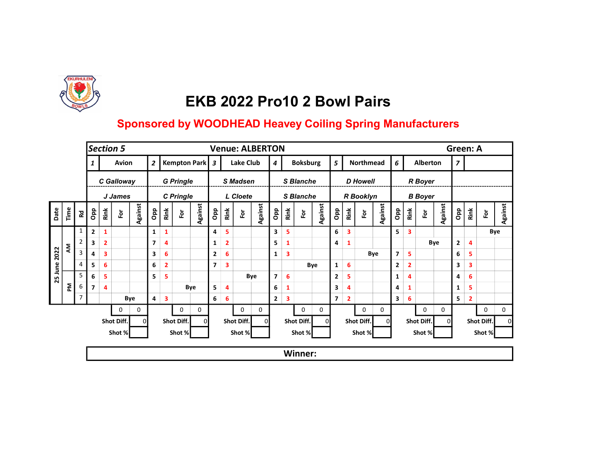

|         |      |                |                          |                | Section 5  |          |                          |                         |                              |                |                         |                         |                      | <b>Venue: ALBERTON</b> |                         |      |                  |                |                         |                         |                  |                  |             |                |                         |          | Green: A       |              |             |         |
|---------|------|----------------|--------------------------|----------------|------------|----------|--------------------------|-------------------------|------------------------------|----------------|-------------------------|-------------------------|----------------------|------------------------|-------------------------|------|------------------|----------------|-------------------------|-------------------------|------------------|------------------|-------------|----------------|-------------------------|----------|----------------|--------------|-------------|---------|
|         |      |                |                          |                | Avion      |          | $\overline{\mathbf{c}}$  |                         |                              | Kempton Park 3 |                         |                         | Lake Club            |                        | $\boldsymbol{4}$        |      | <b>Boksburg</b>  |                | 5                       |                         |                  | <b>Northmead</b> | 6           |                | Alberton                |          | $\overline{z}$ |              |             |         |
|         |      |                |                          |                | C Galloway |          |                          |                         | <b>G</b> Pringle             |                |                         |                         | S Madsen             |                        |                         |      | <b>S</b> Blanche |                |                         |                         | <b>D</b> Howell  |                  |             |                | <b>R</b> Boyer          |          |                |              |             |         |
|         |      |                |                          |                | J James    |          |                          |                         | C Pringle                    |                |                         |                         | L Cloete             |                        |                         |      | <b>S</b> Blanche |                |                         |                         | <b>R</b> Booklyn |                  |             |                | <b>B</b> Boyer          |          |                |              |             |         |
| Date    | Time | <b>Rd</b>      | Opp                      | Rink           | 应          | Against  | <b>a</b> p               | Rink                    | $\overleftarrow{\mathsf{e}}$ | <b>Against</b> | Opp                     | Rink                    | $\tilde{\mathbf{e}}$ | <b>Against</b>         | <b>a</b> p              | Rink | $\bf \bar{e}$    | <b>Against</b> | дар                     | Rink                    | Ĕŏ               | Against          | <b>a</b> do | Rink           | $\overline{\mathbf{e}}$ | Against  | Opp            | Rink         | For         | Against |
|         |      | 1              | $\mathbf{2}$             | 1              |            |          | 1                        | $\mathbf{1}$            |                              |                | 4                       | 5                       |                      |                        | 3                       | 5    |                  |                | 6                       | $\overline{\mathbf{3}}$ |                  |                  | 5.          | $\mathbf{3}$   |                         |          |                |              |             | Bye     |
|         | ξ    | $\overline{2}$ | 3                        | $\overline{2}$ |            |          | $\overline{\phantom{a}}$ | 4                       |                              |                | $\mathbf{1}$            | $\overline{\mathbf{2}}$ |                      |                        | 5                       | 1    |                  |                | 4                       | $\mathbf{1}$            |                  |                  |             |                |                         | Bye      | $\mathbf{2}$   | 4            |             |         |
| 2022    |      | 3              | 4                        | 3              |            |          | 3                        | 6                       |                              |                | $\mathbf{2}$            | 6                       |                      |                        | $\mathbf{1}$            | 3    |                  |                |                         |                         |                  | Bye              | 7           | 5              |                         |          | 6              | 5            |             |         |
| 25 June |      | $\overline{4}$ | 5                        | 6              |            |          | 6                        | $\overline{\mathbf{2}}$ |                              |                | $\overline{\mathbf{z}}$ | 3                       |                      |                        |                         |      |                  | Bye            | $\mathbf{1}$            | $\boldsymbol{6}$        |                  |                  | 2           | $\overline{2}$ |                         |          | 3              | 3            |             |         |
|         |      | 5              | 6                        | 5              |            |          | 5                        | 5                       |                              |                |                         |                         |                      | Bye                    | $\overline{\mathbf{z}}$ | 6    |                  |                | $\overline{\mathbf{2}}$ | 5                       |                  |                  | 1           | $\overline{4}$ |                         |          | 4              | 6            |             |         |
|         | ᅙ    | 6              | $\overline{\phantom{a}}$ | 4              |            |          |                          |                         |                              | Bye            | 5                       | 4                       |                      |                        | 6                       | 1    |                  |                | 3                       | 4                       |                  |                  | 4           | 1              |                         |          | $\mathbf{1}$   | 5            |             |         |
|         |      | 7              |                          |                |            | Bye      | 4                        | $\overline{\mathbf{3}}$ |                              |                | 6                       | 6                       |                      |                        | $\mathbf{2}$            | 3    |                  |                | $\overline{\mathbf{z}}$ | $\overline{2}$          |                  |                  | 3           | 6              |                         |          | 5              | $\mathbf{2}$ |             |         |
|         |      |                |                          |                | 0          | 0        |                          |                         | $\mathbf 0$                  | 0              |                         |                         | 0                    | 0                      |                         |      | 0                | 0              |                         |                         | 0                | 0                |             |                | $\mathbf 0$             | 0        |                |              | $\mathbf 0$ | 0       |
|         |      |                |                          |                | Shot Diff. | $\Omega$ |                          |                         | Shot Diff.                   | $\Omega$       |                         |                         | Shot Diff.           | 0                      |                         |      | Shot Diff.       |                |                         |                         | Shot Diff.       | ΩI               |             |                | Shot Diff.              | $\Omega$ |                |              | Shot Diff.  |         |
|         |      |                |                          |                | Shot %     |          |                          |                         | Shot %                       |                |                         |                         | Shot %               |                        |                         |      | Shot %           |                |                         |                         | Shot %           |                  |             |                | Shot %                  |          |                |              | Shot %      |         |
|         |      |                |                          |                |            |          |                          |                         |                              |                |                         |                         |                      |                        |                         |      | <b>Winner:</b>   |                |                         |                         |                  |                  |             |                |                         |          |                |              |             |         |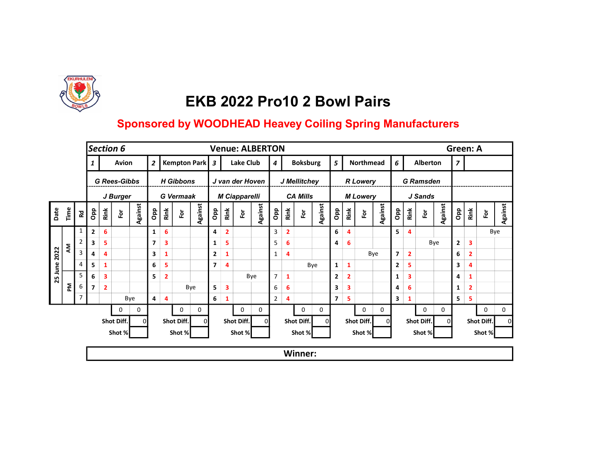

|      |      |                      |                          |                | Section 6           |                |                |                         |                  |                |                |                         | <b>Venue: ALBERTON</b> |          |                         |                |                 |                |                |                |                 |                  |                |                |                        |          | Green: A       |                |             |         |
|------|------|----------------------|--------------------------|----------------|---------------------|----------------|----------------|-------------------------|------------------|----------------|----------------|-------------------------|------------------------|----------|-------------------------|----------------|-----------------|----------------|----------------|----------------|-----------------|------------------|----------------|----------------|------------------------|----------|----------------|----------------|-------------|---------|
|      |      |                      |                          |                | Avion               |                | $\overline{2}$ |                         |                  | Kempton Park 3 |                |                         | Lake Club              |          | $\overline{4}$          |                | <b>Boksburg</b> |                | 5              |                |                 | <b>Northmead</b> | 6              |                | Alberton               |          | $\overline{z}$ |                |             |         |
|      |      |                      |                          |                | <b>G Rees-Gibbs</b> |                |                |                         | <b>H</b> Gibbons |                |                |                         | J van der Hoven        |          |                         |                | J Mellitchey    |                |                |                | <b>R</b> Lowery |                  |                |                | <b>G</b> Ramsden       |          |                |                |             |         |
|      |      |                      |                          |                | J Burger            |                |                |                         | <b>G</b> Vermaak |                |                |                         | <b>M Ciapparelli</b>   |          |                         |                | <b>CA Mills</b> |                |                |                | <b>M</b> Lowery |                  |                |                | J Sands                |          |                |                |             |         |
| Date | Time | $\mathbf{\tilde{g}}$ | Opp                      | Rink           | Ĕ                   | <b>Against</b> | $\overline{P}$ | Rink                    | $\bf \bar{e}$    | Against        | дар            | Rink                    | è                      | Against  | $\mathsf{p}^\mathsf{p}$ | Rink           | $\bf \bar{e}$   | <b>Against</b> | <b>Opp</b>     | Rink           | Ĕŏ              | Against          | <b>adO</b>     | Rink           | $\overline{\tilde{e}}$ | Against  | Opp            | Rink           | For         | Against |
|      |      | 1                    | $\mathbf{2}$             | 6              |                     |                | 1              | 6                       |                  |                | 4              | $\overline{\mathbf{2}}$ |                        |          | 3                       | $\overline{2}$ |                 |                | 6              | 4              |                 |                  | 5.             | $\overline{4}$ |                        |          |                |                |             | Bye     |
|      | ξ    | $\overline{2}$       | 3                        | 5              |                     |                | 7              | $\overline{\mathbf{3}}$ |                  |                | 1              | 5                       |                        |          | 5                       | 6              |                 |                | 4              | 6              |                 |                  |                |                |                        | Bye      | $\mathbf{2}$   | 3              |             |         |
| 2022 |      | 3                    | 4                        | 4              |                     |                | 3              | $\mathbf{1}$            |                  |                | $\mathbf{2}$   | 1                       |                        |          | $\mathbf{1}$            | 4              |                 |                |                |                |                 | Bye              | $\overline{7}$ | $\overline{2}$ |                        |          | 6              | $\overline{2}$ |             |         |
| June |      | $\overline{4}$       | 5                        | 1              |                     |                | 6              | 5                       |                  |                | $\overline{7}$ | 4                       |                        |          |                         |                |                 | Bye            | $\mathbf{1}$   | $\mathbf{1}$   |                 |                  | $\mathbf{2}$   | 5              |                        |          | 3              | 4              |             |         |
| 25   |      | 5                    | 6                        | 3              |                     |                | 5              | $\overline{\mathbf{2}}$ |                  |                |                |                         | Bye                    |          | $\overline{7}$          | 1              |                 |                | $\mathbf{2}$   | $\overline{2}$ |                 |                  | 1              | 3              |                        |          | 4              |                |             |         |
|      | 혼    | 6                    | $\overline{\phantom{a}}$ | $\overline{2}$ |                     |                |                |                         |                  | Bye            | 5              | 3                       |                        |          | 6                       | 6              |                 |                | 3              | 3              |                 |                  | 4              | 6              |                        |          | $\mathbf{1}$   | 2              |             |         |
|      |      | $\overline{7}$       |                          |                |                     | Bye            | 4              | 4                       |                  |                | 6              | 1                       |                        |          | $\overline{2}$          | 4              |                 |                | $\overline{7}$ | 5              |                 |                  | 3              | 1              |                        |          | 5              | 5              |             |         |
|      |      |                      |                          |                | $\mathbf 0$         | 0              |                |                         | 0                | 0              |                |                         | 0                      | 0        |                         |                | 0               | 0              |                |                | $\mathbf 0$     | 0                |                |                | $\mathbf{0}$           | 0        |                |                | $\mathbf 0$ | 0       |
|      |      |                      |                          |                | Shot Diff.          |                |                |                         | Shot Diff.       | 0              |                |                         | Shot Diff.             | $\Omega$ |                         |                | Shot Diff.      |                |                |                | Shot Diff.      | ΩI               |                |                | Shot Diff.             | $\Omega$ |                |                | Shot Diff.  |         |
|      |      |                      |                          |                | Shot %              |                |                |                         | Shot %           |                |                |                         | Shot %                 |          |                         |                | Shot %          |                |                |                | Shot %          |                  |                |                | Shot %                 |          |                |                | Shot %      |         |
|      |      |                      |                          |                |                     |                |                |                         |                  |                |                |                         |                        |          |                         |                | Winner:         |                |                |                |                 |                  |                |                |                        |          |                |                |             |         |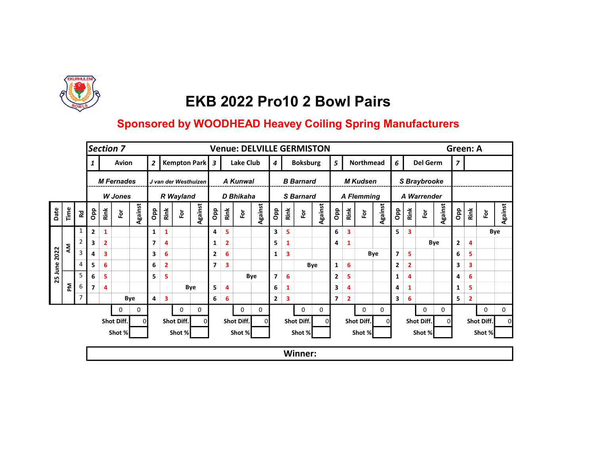

|      |      |                |                |                | Section 7         |                |                |                         |             |                      |                |                         | <b>Venue: DELVILLE GERMISTON</b> |                |                |                         |                  |                |                |              |                   |         |                |                         |                         |         | Green: A       |              |            |         |  |
|------|------|----------------|----------------|----------------|-------------------|----------------|----------------|-------------------------|-------------|----------------------|----------------|-------------------------|----------------------------------|----------------|----------------|-------------------------|------------------|----------------|----------------|--------------|-------------------|---------|----------------|-------------------------|-------------------------|---------|----------------|--------------|------------|---------|--|
|      |      |                |                |                | Avion             |                | $\overline{2}$ |                         |             | Kempton Park 3       |                |                         | Lake Club                        |                | $\overline{4}$ |                         | <b>Boksburg</b>  |                | 5              |              | <b>Northmead</b>  |         | 6              |                         | Del Germ                |         | $\overline{z}$ |              |            |         |  |
|      |      |                |                |                | <b>M</b> Fernades |                |                |                         |             | J van der Westhuizen |                |                         | A Kunwal                         |                |                |                         | <b>B</b> Barnard |                |                |              | <b>M Kudsen</b>   |         |                |                         | S Braybrooke            |         |                |              |            |         |  |
|      |      |                |                |                | <b>W</b> Jones    |                |                |                         | R Wayland   |                      |                |                         | D Bhikaha                        |                |                |                         | <b>S</b> Barnard |                |                |              | <b>A Flemming</b> |         |                |                         | A Warrender             |         |                |              |            |         |  |
| Date | Time | <b>R</b> d     | Opp            | Rink           | $\bf \bar{e}$     | <b>Against</b> | Opp            | Rink                    | $\tilde{e}$ | Against              | Opp            | Rink                    | è                                | <b>Against</b> | <b>ado</b>     | Rink                    | $\bf \bar{e}$    | <b>Against</b> | Opp            | Rink         | 효                 | Against | Opp            | Rink                    | $\overline{\mathbf{e}}$ | Against | дар            | Rink         | For        | Against |  |
|      |      | $\mathbf{1}$   | $\overline{2}$ | 1              |                   |                | 1              | $\mathbf{1}$            |             |                      | 4              | 5                       |                                  |                | 3              | 5                       |                  |                | 6              | 3            |                   |         | 5.             | $\overline{\mathbf{3}}$ |                         |         |                |              |            | Bye     |  |
|      | ξ    |                | 3              | $\overline{2}$ |                   |                | 7              | $\overline{4}$          |             |                      | 1              | $\overline{\mathbf{2}}$ |                                  |                | 5              | 1                       |                  |                | 4              | 1            |                   |         |                |                         |                         | Bye     | $\mathbf{2}$   | 4            |            |         |  |
| 2022 |      | 3              | 4              | 3              |                   |                | 3              | 6                       |             |                      | $\mathbf{2}$   | 6                       |                                  |                | $\mathbf{1}$   | $\overline{\mathbf{3}}$ |                  |                |                |              |                   | Bye     | $\overline{7}$ | 5                       |                         |         | 6              | 5            |            |         |  |
| June |      | 4              | 5              | 6              |                   |                | 6              | $\overline{\mathbf{2}}$ |             |                      | $\overline{7}$ | 3                       |                                  |                |                |                         |                  | Bye            | 1              | 6            |                   |         | $\mathbf{2}$   | $\overline{2}$          |                         |         | 3              | 3            |            |         |  |
| 25   |      | 5              | 6              | 5              |                   |                | 5              | 5                       |             |                      |                |                         | Bye                              |                | $\overline{7}$ | 6                       |                  |                | $\mathbf{2}$   | 5            |                   |         | 1              | 4                       |                         |         | 4              | 6            |            |         |  |
|      | 혼    | 6              | $\overline{7}$ | 4              |                   |                |                |                         |             | Bye                  | 5              | 4                       |                                  |                | 6              | 1                       |                  |                | 3              | 4            |                   |         | 4              | 1                       |                         |         | 1              | 5            |            |         |  |
|      |      | $\overline{7}$ |                |                |                   | Bye            | 4              | $\overline{\mathbf{3}}$ |             |                      | 6              | 6                       |                                  |                | $\mathbf{2}$   | 3                       |                  |                | $\overline{ }$ | $\mathbf{2}$ |                   |         | 3              | 6                       |                         |         | 5              | $\mathbf{2}$ |            |         |  |
|      |      |                |                |                | 0                 | 0              |                |                         | 0           | 0                    |                |                         | 0                                | 0              |                |                         | 0                | 0              |                |              | 0                 | 0       |                |                         | 0                       | 0       |                |              | 0          | 0       |  |
|      |      |                |                |                | Shot Diff.        | $\Omega$       |                |                         | Shot Diff.  | οI                   |                |                         | Shot Diff.                       | ΩI             |                |                         | Shot Diff.       |                |                |              | Shot Diff.        |         |                |                         | Shot Diff.              | ΩI      |                |              | Shot Diff. |         |  |
|      |      |                |                |                | Shot %            |                |                |                         | Shot %      |                      |                |                         | Shot %                           |                |                |                         | Shot %           |                |                |              | Shot %            |         |                |                         | Shot %                  |         |                |              | Shot %     |         |  |
|      |      |                |                |                |                   |                |                |                         |             |                      |                |                         |                                  |                |                |                         | <b>Winner:</b>   |                |                |              |                   |         |                |                         |                         |         |                |              |            |         |  |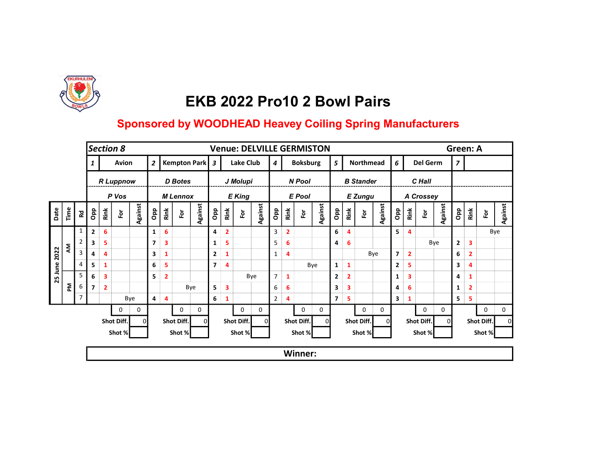

|      |      |                |                |                | Section 8        |                |                |                         |                 |                |                |                | <b>Venue: DELVILLE GERMISTON</b> |                |                |                |                 |                |                |                |                  |         |                |                         |            |         | Green: A       |                |               |         |
|------|------|----------------|----------------|----------------|------------------|----------------|----------------|-------------------------|-----------------|----------------|----------------|----------------|----------------------------------|----------------|----------------|----------------|-----------------|----------------|----------------|----------------|------------------|---------|----------------|-------------------------|------------|---------|----------------|----------------|---------------|---------|
|      |      |                |                |                | Avion            |                | $\overline{2}$ |                         |                 | Kempton Park 3 |                |                | Lake Club                        |                | $\overline{4}$ |                | <b>Boksburg</b> |                | 5              |                | Northmead        |         | 6              |                         | Del Germ   |         | $\overline{z}$ |                |               |         |
|      |      |                |                |                | <b>R</b> Luppnow |                |                |                         | D Botes         |                |                |                | J Molupi                         |                |                |                | N Pool          |                |                |                | <b>B</b> Stander |         |                |                         | C Hall     |         |                |                |               |         |
|      |      |                |                |                | P Vos            |                |                |                         | <b>M</b> Lennox |                |                |                | <b>E</b> King                    |                |                |                | <b>E</b> Pool   |                |                |                | <b>E</b> Zungu   |         |                |                         | A Crossey  |         |                |                |               |         |
| Date | Time | <b>R</b> d     | Opp            | Rink           | $\bf \bar{e}$    | <b>Against</b> | Opp            | Rink                    | For             | Against        | Opp            | Rink           | $\overline{\tilde{c}}$           | <b>Against</b> | <b>ado</b>     | Rink           | $\bf \bar{e}$   | <b>Against</b> | Opp            | Rink           | 훈                | Against | Opp            | Rink                    | è          | Against | Opp            | Rink           | $\bf \bar{e}$ | Against |
|      |      | $\mathbf{1}$   | $\overline{2}$ | 6              |                  |                | 1              | 6                       |                 |                | 4              | $\overline{2}$ |                                  |                | 3              | $\overline{2}$ |                 |                | 6              | 4              |                  |         | 5.             | 4                       |            |         |                |                |               | Bye     |
|      |      |                | 3              | 5.             |                  |                | 7              | $\overline{\mathbf{3}}$ |                 |                | 1              | 5              |                                  |                | 5              | 6              |                 |                | 4              | 6              |                  |         |                |                         |            | Bye     | $\mathbf{2}$   | 3              |               |         |
| 2022 | ξ    | 3              | 4              | 4              |                  |                | 3              | $\mathbf{1}$            |                 |                | $\mathbf{2}$   | 1              |                                  |                | $\mathbf{1}$   | 4              |                 |                |                |                |                  | Bye     | $\overline{7}$ | $\overline{2}$          |            |         | 6              | $\overline{2}$ |               |         |
| June |      | 4              | 5              | 1              |                  |                | 6              | 5                       |                 |                | $\overline{7}$ | 4              |                                  |                |                |                |                 | Bye            | $\mathbf{1}$   | $\mathbf{1}$   |                  |         | $\mathbf{2}$   | 5                       |            |         | 3              | 4              |               |         |
| 25   |      | 5              | 6              | 3              |                  |                | 5              | $\overline{2}$          |                 |                |                |                | Bye                              |                | $\overline{7}$ | 1              |                 |                | $\overline{2}$ | $\overline{2}$ |                  |         | 1              | $\overline{\mathbf{3}}$ |            |         | 4              |                |               |         |
|      | 혼    | 6              | $\overline{7}$ | $\overline{2}$ |                  |                |                |                         |                 | Bye            | 5              | 3              |                                  |                | 6              | 6              |                 |                | 3              | 3              |                  |         | 4              | 6                       |            |         | $\mathbf{1}$   | $\overline{2}$ |               |         |
|      |      | $\overline{7}$ |                |                |                  | Bye            | 4              | 4                       |                 |                | 6              | 1              |                                  |                | $\overline{2}$ | 4              |                 |                | $\overline{ }$ | 5              |                  |         | 3              | 1                       |            |         | 5              | 5              |               |         |
|      |      |                |                |                | 0                | 0              |                |                         | 0               | 0              |                |                | 0                                | 0              |                |                | 0               | 0              |                |                | 0                | 0       |                |                         | 0          | 0       |                |                | $\mathbf 0$   | 0       |
|      |      |                |                |                | Shot Diff.       | $\Omega$       |                |                         | Shot Diff.      | οI             |                |                | Shot Diff.                       | ΩI             |                |                | Shot Diff.      |                |                |                | Shot Diff.       |         |                |                         | Shot Diff. | ΩI      |                |                | Shot Diff.    |         |
|      |      |                |                |                | Shot %           |                |                |                         | Shot %          |                |                |                | Shot %                           |                |                |                | Shot %          |                |                |                | Shot %           |         |                |                         | Shot %     |         |                |                | Shot %        |         |
|      |      |                |                |                |                  |                |                |                         |                 |                |                |                |                                  |                |                |                | Winner:         |                |                |                |                  |         |                |                         |            |         |                |                |               |         |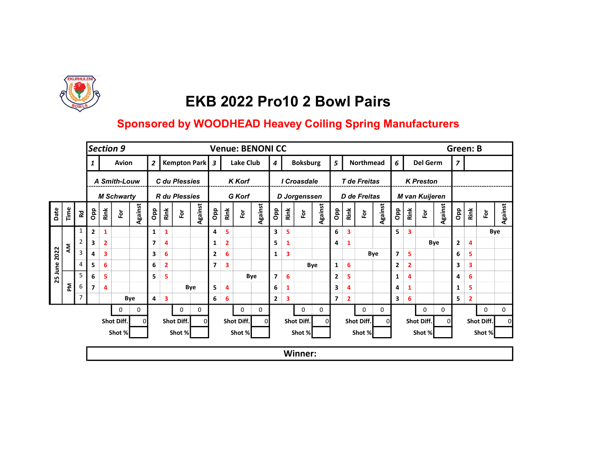

|         |      |                         |                          |                | Section 9         |                |                |                         |                      |         |                |                         | <b>Venue: BENONI CC</b> |         |                         |                         |                     |         |                |                |              |                  |                         |                         |                  |         | <b>Green: B</b> |              |               |         |
|---------|------|-------------------------|--------------------------|----------------|-------------------|----------------|----------------|-------------------------|----------------------|---------|----------------|-------------------------|-------------------------|---------|-------------------------|-------------------------|---------------------|---------|----------------|----------------|--------------|------------------|-------------------------|-------------------------|------------------|---------|-----------------|--------------|---------------|---------|
|         |      |                         |                          |                | Avion             |                | $\overline{2}$ |                         | Kempton Park 3       |         |                |                         | Lake Club               |         | $\overline{4}$          |                         | <b>Boksburg</b>     |         | 5              |                |              | <b>Northmead</b> | 6                       |                         | Del Germ         |         | $\overline{z}$  |              |               |         |
|         |      |                         |                          |                | A Smith-Louw      |                |                |                         | C du Plessies        |         |                |                         | <b>K</b> Korf           |         |                         |                         | I Croasdale         |         |                |                | T de Freitas |                  |                         |                         | <b>K</b> Preston |         |                 |              |               |         |
|         |      |                         |                          |                | <b>M Schwarty</b> |                |                |                         | <b>R</b> du Plessies |         |                |                         | G Korf                  |         |                         |                         | <b>D</b> Jorgenssen |         |                |                | D de Freitas |                  |                         |                         | M van Kuijeren   |         |                 |              |               |         |
| Date    | Time | <b>Rd</b>               | Opp                      | Rink           | Ĕ                 | <b>Against</b> | <b>ado</b>     | Rink                    | $\bf \bar{e}$        | Against | <b>a</b> p     | Rink                    | 효                       | Against | <b>ado</b>              | Rink                    | $\bf \bar{e}$       | Against | <b>a</b> p     | Rink           | Ĕŏ           | Against          | Opp                     | Rink                    | 应                | Against | <b>a</b> p      | Rink         | $\bf \bar{e}$ | Against |
|         |      | 1                       | $\mathbf{2}$             | 1              |                   |                | 1              | $\mathbf{1}$            |                      |         | 4              | 5                       |                         |         | 3                       | 5                       |                     |         | 6              | 3              |              |                  | 5.                      | $\overline{\mathbf{3}}$ |                  |         |                 |              |               | Bye     |
|         | ξ    | $\overline{2}$          | 3                        | $\overline{2}$ |                   |                | 7              | $\overline{4}$          |                      |         | $\mathbf{1}$   | $\overline{\mathbf{2}}$ |                         |         | 5                       | 1                       |                     |         | 4              | $\mathbf{1}$   |              |                  |                         |                         |                  | Bye     | $\mathbf{2}$    | 4            |               |         |
| 2022    |      | $\overline{\mathbf{3}}$ | 4                        | 3              |                   |                | 3              | 6                       |                      |         | $\mathbf{2}$   | 6                       |                         |         | $\mathbf{1}$            | $\overline{\mathbf{3}}$ |                     |         |                |                |              | Bye              | $\overline{\mathbf{z}}$ | 5                       |                  |         | 6               | 5            |               |         |
| 25 June |      | 4                       | 5                        | 6              |                   |                | 6              | $\overline{\mathbf{2}}$ |                      |         | $\overline{7}$ | 3                       |                         |         |                         |                         |                     | Bye     | 1              | 6              |              |                  | $\mathbf{2}$            | $\mathbf{2}$            |                  |         | 3               | 3            |               |         |
|         |      | 5                       | 6                        | 5              |                   |                | 5              | 5                       |                      |         |                |                         | Bye                     |         | $\overline{\mathbf{z}}$ | 6                       |                     |         | $\mathbf{2}$   | 5              |              |                  | 1                       | $\overline{4}$          |                  |         | 4               | 6            |               |         |
|         | 혼    | 6                       | $\overline{\phantom{a}}$ | 4              |                   |                |                |                         |                      | Bye     | 5              | 4                       |                         |         | 6                       | 1                       |                     |         | 3              | 4              |              |                  | 4                       | 1                       |                  |         | $\mathbf{1}$    | 5            |               |         |
|         |      | $\overline{7}$          |                          |                |                   | Bye            | 4              | $\overline{\mathbf{3}}$ |                      |         | 6              | 6                       |                         |         | $\mathbf{2}$            | 3                       |                     |         | $\overline{7}$ | $\overline{2}$ |              |                  | 3                       | 6                       |                  |         | 5               | $\mathbf{2}$ |               |         |
|         |      |                         |                          |                | 0                 | 0              |                |                         | 0                    | 0       |                |                         | 0                       | 0       |                         |                         | $\mathbf 0$         | 0       |                |                | $\mathbf 0$  | 0                |                         |                         | $\mathbf{0}$     | 0       |                 |              | $\mathbf 0$   | 0       |
|         |      |                         |                          |                | Shot Diff.        |                |                |                         | Shot Diff.           | 0       |                |                         | Shot Diff.              | ΩI      |                         |                         | Shot Diff.          |         |                |                | Shot Diff.   | ΩI               |                         |                         | Shot Diff.       | ΩI      |                 |              | Shot Diff.    |         |
|         |      |                         |                          |                | Shot %            |                |                |                         | Shot %               |         |                |                         | Shot %                  |         |                         |                         | Shot %              |         |                |                | Shot %       |                  |                         |                         | Shot %           |         |                 |              | Shot %        |         |
|         |      |                         |                          |                |                   |                |                |                         |                      |         |                |                         |                         |         |                         |                         | Winner:             |         |                |                |              |                  |                         |                         |                  |         |                 |              |               |         |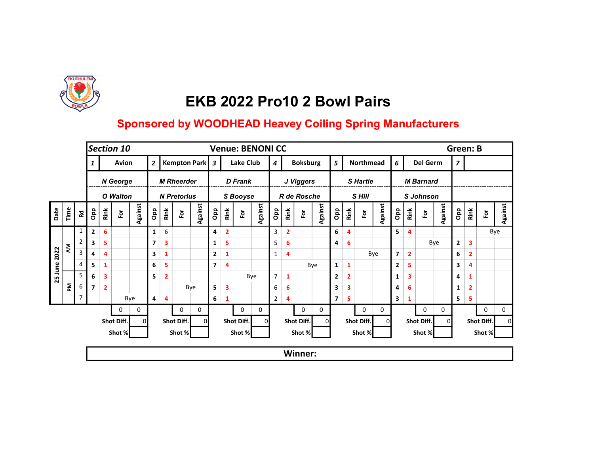

|         |      |                         |                          |                | Section 10   |                |                         |                |                         |                |                |                         |                | <b>Venue: BENONI CC</b> |                |                |                 |                |                |                         |               |                |                 |                |                  |                | Green: B       |                |             |         |
|---------|------|-------------------------|--------------------------|----------------|--------------|----------------|-------------------------|----------------|-------------------------|----------------|----------------|-------------------------|----------------|-------------------------|----------------|----------------|-----------------|----------------|----------------|-------------------------|---------------|----------------|-----------------|----------------|------------------|----------------|----------------|----------------|-------------|---------|
|         |      |                         |                          |                | Avion        |                | $\overline{2}$          |                |                         | Kempton Park 3 |                |                         | Lake Club      |                         | $\overline{4}$ |                | <b>Boksburg</b> |                | 5              |                         | Northmead     |                | $6\overline{6}$ |                | Del Germ         |                | $\overline{z}$ |                |             |         |
|         |      |                         |                          |                | N George     |                |                         |                | <b>M Rheerder</b>       |                |                |                         | <b>D</b> Frank |                         |                |                | J Viggers       |                |                |                         | S Hartle      |                |                 |                | <b>M</b> Barnard |                |                |                |             |         |
|         |      |                         |                          |                | O Walton     |                |                         |                | <b>N</b> Pretorius      |                |                |                         | S Booyse       |                         |                |                | R de Rosche     |                |                |                         | S Hill        |                |                 |                | <b>S</b> Johnson |                |                |                |             |         |
| Date    | Time | 运                       | Opp                      | Rink           | Ĕ            | <b>Against</b> | Opp                     | Rink           | $\overline{\mathsf{P}}$ | Against        | Opp            | Rink                    | $\bf \bar{e}$  | <b>Against</b>          | Opp            | Rink           | $\bf \bar{e}$   | <b>Against</b> | дар            | Rink                    | $\bf \bar{e}$ | <b>Against</b> | Opp             | Rink           | 효                | <b>Against</b> | дар            | Rink           | For         | Against |
|         |      | $\mathbf{1}$            | $\mathbf{2}$             | 6              |              |                | 1                       | 6              |                         |                | 4              | $\overline{\mathbf{2}}$ |                |                         | 3              | $\overline{2}$ |                 |                | 6              | 4                       |               |                | 5.              | 4              |                  |                |                |                |             | Bye     |
|         |      | $\overline{2}$          | 3                        | 5              |              |                | $\overline{\mathbf{z}}$ | 3              |                         |                | $\mathbf{1}$   | 5                       |                |                         | 5              | 6              |                 |                | 4              | 6                       |               |                |                 |                |                  | Bye            | $\mathbf{2}$   | 3              |             |         |
| 2022    | ξ    | $\overline{\mathbf{3}}$ | 4                        | 4              |              |                | 3                       | 1              |                         |                | $\mathbf{2}$   | $\mathbf{1}$            |                |                         | $\mathbf{1}$   | 4              |                 |                |                |                         |               | Bye            | $\overline{ }$  | $\overline{2}$ |                  |                | 6              | $\overline{2}$ |             |         |
| 25 June |      | 4                       | 5                        | 1              |              |                | 6                       | 5              |                         |                | $\overline{7}$ | $\overline{4}$          |                |                         |                |                |                 | Bye            | 1              | $\mathbf{1}$            |               |                | 2               | 5              |                  |                | 3              | 4              |             |         |
|         |      | 5                       | 6                        | 3              |              |                | 5                       | $\overline{2}$ |                         |                |                |                         |                | Bye                     | $\overline{7}$ | 1              |                 |                | $\mathbf{2}$   | $\overline{\mathbf{2}}$ |               |                | 1               | 3              |                  |                | 4              | 1              |             |         |
|         | 좀    | 6                       | $\overline{\phantom{a}}$ | $\overline{2}$ |              |                |                         |                |                         | Bye            | 5              | 3                       |                |                         | 6              | 6              |                 |                | 3              | $\overline{\mathbf{3}}$ |               |                | 4               | 6              |                  |                | 1              | $\overline{2}$ |             |         |
|         |      | $\overline{7}$          |                          |                |              | Bye            | 4                       | 4              |                         |                | 6 <sup>1</sup> | $\mathbf{1}$            |                |                         | $\overline{2}$ | 4              |                 |                | $\overline{7}$ | 5                       |               |                | 3               | 1              |                  |                | 5              | 5              |             |         |
|         |      |                         |                          |                | $\mathbf{0}$ | 0              |                         |                | 0                       | 0              |                |                         | 0              | 0                       |                |                | $\mathbf 0$     | 0              |                |                         | $\mathbf{0}$  | 0              |                 |                | $\mathbf{0}$     | $\mathbf 0$    |                |                | $\mathbf 0$ | 0       |
|         |      |                         |                          |                | Shot Diff.   | $\Omega$       |                         |                | Shot Diff.              | ΩI             |                |                         | Shot Diff.     | $\Omega$                |                |                | Shot Diff.      |                |                |                         | Shot Diff.    | ΟI             |                 |                | Shot Diff.       | ΩI             |                |                | Shot Diff.  |         |
|         |      |                         |                          |                | Shot %       |                |                         |                | Shot %                  |                |                |                         | Shot %         |                         |                |                | Shot %          |                |                |                         | Shot %        |                |                 |                | Shot %           |                |                |                | Shot %      |         |
|         |      |                         |                          |                |              |                |                         |                |                         |                |                |                         |                |                         |                |                | <b>Winner:</b>  |                |                |                         |               |                |                 |                |                  |                |                |                |             |         |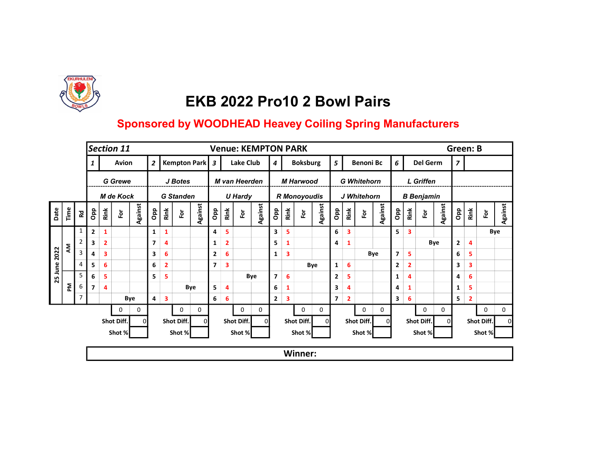

|         |      |                |                          |                | Section 11             |                |                |                         |                  |         |                |                         | <b>Venue: KEMPTON PARK</b> |          |                         |      |                     |         |                         |                         |             |                    |                         |            |                         |                   |         | <b>Green: B</b> |              |               |     |         |
|---------|------|----------------|--------------------------|----------------|------------------------|----------------|----------------|-------------------------|------------------|---------|----------------|-------------------------|----------------------------|----------|-------------------------|------|---------------------|---------|-------------------------|-------------------------|-------------|--------------------|-------------------------|------------|-------------------------|-------------------|---------|-----------------|--------------|---------------|-----|---------|
|         |      |                |                          |                | Avion                  |                | $\overline{2}$ |                         | Kempton Park 3   |         |                |                         | Lake Club                  |          | $\overline{4}$          |      | <b>Boksburg</b>     |         | 5                       |                         |             | <b>Benoni Bc</b>   | 6 <sup>1</sup>          |            |                         | Del Germ          |         | $\overline{z}$  |              |               |     |         |
|         |      |                |                          |                | <b>G</b> Grewe         |                |                |                         | J Botes          |         |                |                         | M van Heerden              |          |                         |      | <b>M Harwood</b>    |         |                         |                         |             | <b>G</b> Whitehorn |                         |            |                         | L Griffen         |         |                 |              |               |     |         |
|         |      |                |                          |                | <b>M</b> de Kock       |                |                |                         | <b>G</b> Standen |         |                |                         | <b>U Hardy</b>             |          |                         |      | <b>R</b> Monoyoudis |         |                         |                         |             | J Whitehorn        |                         |            |                         | <b>B</b> Benjamin |         |                 |              |               |     |         |
| Date    | Time | <b>Rd</b>      | Opp                      | Rink           | $\overline{\tilde{e}}$ | <b>Against</b> | <b>a</b> do    | Rink                    | $\bf \bar{e}$    | Against | <b>a</b> p     | Rink                    | è                          | Against  | <b>Opp</b>              | Rink | $\bf \bar{e}$       | Against | <b>a</b> p              | Rink                    | Ĕŏ          | Against            |                         | <b>a</b> p | Rink                    | 应                 | Against | <b>a</b> p      | Rink         | $\bf \bar{e}$ |     | Against |
|         |      | 1              | $\mathbf{2}$             | 1              |                        |                | 1              | $\mathbf{1}$            |                  |         | 4              | 5                       |                            |          | 3                       | 5    |                     |         | 6                       | $\overline{\mathbf{3}}$ |             |                    | 5.                      |            | $\overline{\mathbf{3}}$ |                   |         |                 |              |               | Bye |         |
|         | ξ    | $\overline{2}$ | 3                        | $\overline{2}$ |                        |                | 7              | $\overline{4}$          |                  |         | $\mathbf{1}$   | $\overline{\mathbf{2}}$ |                            |          | 5                       | 1    |                     |         | 4                       | $\mathbf{1}$            |             |                    |                         |            |                         | Bye               |         | $\mathbf{2}$    | 4            |               |     |         |
| 2022    |      | 3              | 4                        | 3              |                        |                | 3              | 6                       |                  |         | $\mathbf{2}$   | 6                       |                            |          | $\mathbf{1}$            | 3    |                     |         |                         |                         |             | Bye                | $\overline{\mathbf{z}}$ |            | 5                       |                   |         | 6               | 5            |               |     |         |
| 25 June |      | 4              | 5                        | 6              |                        |                | 6              | $\overline{\mathbf{2}}$ |                  |         | $\overline{7}$ | 3                       |                            |          |                         |      |                     | Bye     | 1                       | 6                       |             |                    | $\mathbf{2}$            |            | $\mathbf{2}$            |                   |         | 3               | 3            |               |     |         |
|         |      | 5              | 6                        | 5              |                        |                | 5              | 5                       |                  |         |                |                         | Bye                        |          | $\overline{\mathbf{z}}$ | 6    |                     |         | $\mathbf{2}$            | 5                       |             |                    | 1                       |            | $\overline{4}$          |                   |         | 4               | 6            |               |     |         |
|         | 혼    | 6              | $\overline{\phantom{a}}$ | 4              |                        |                |                |                         |                  | Bye     | 5              | 4                       |                            |          | 6                       | 1    |                     |         | 3                       | 4                       |             |                    | 4                       |            | 1                       |                   |         | $\mathbf{1}$    | 5            |               |     |         |
|         |      | $\overline{7}$ |                          |                |                        | Bye            | 4              | $\overline{\mathbf{3}}$ |                  |         | 6              | 6                       |                            |          | $\mathbf{2}$            | 3    |                     |         | $\overline{\mathbf{z}}$ | $\overline{2}$          |             |                    | 3                       |            | 6                       |                   |         | 5               | $\mathbf{2}$ |               |     |         |
|         |      |                |                          |                | 0                      | 0              |                |                         | 0                | 0       |                |                         | 0                          | 0        |                         |      | $\mathbf 0$         | 0       |                         |                         | $\mathbf 0$ | 0                  |                         |            |                         | $\mathbf{0}$      | 0       |                 |              | $\mathbf 0$   |     | 0       |
|         |      |                |                          |                | Shot Diff.             |                |                |                         | Shot Diff.       | 0       |                |                         | Shot Diff.                 | $\Omega$ |                         |      | Shot Diff.          |         |                         |                         | Shot Diff.  |                    | ΩI                      |            |                         | Shot Diff.        | ΩI      |                 |              | Shot Diff.    |     |         |
|         |      |                |                          |                | Shot %                 |                |                |                         | Shot %           |         |                |                         | Shot %                     |          |                         |      | Shot %              |         |                         |                         | Shot %      |                    |                         |            |                         | Shot %            |         |                 |              | Shot %        |     |         |
|         |      |                |                          |                |                        |                |                |                         |                  |         |                |                         |                            |          |                         |      | Winner:             |         |                         |                         |             |                    |                         |            |                         |                   |         |                 |              |               |     |         |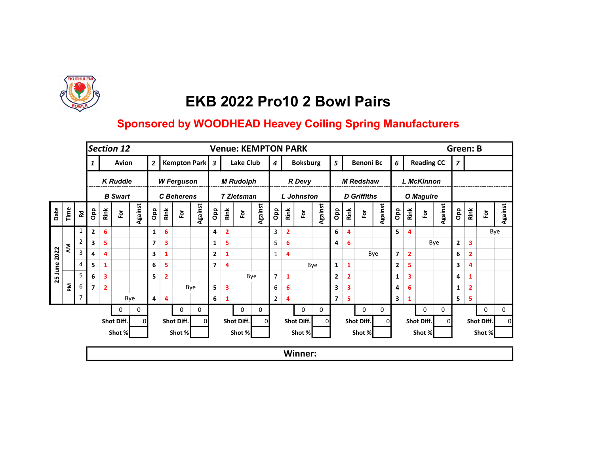

|      |      |                |                         |                | Section 12      |                |                |                         |                      |                |                |                         | <b>Venue: KEMPTON PARK</b> |         |                  |                |                   |         |                          |                         |                    |                |                         |                         |                   |         | <b>Green: B</b> |                |               |         |
|------|------|----------------|-------------------------|----------------|-----------------|----------------|----------------|-------------------------|----------------------|----------------|----------------|-------------------------|----------------------------|---------|------------------|----------------|-------------------|---------|--------------------------|-------------------------|--------------------|----------------|-------------------------|-------------------------|-------------------|---------|-----------------|----------------|---------------|---------|
|      |      |                |                         |                | Avion           |                | $\overline{2}$ |                         |                      | Kempton Park 3 |                |                         | Lake Club                  |         | $\boldsymbol{4}$ |                | <b>Boksburg</b>   |         | 5                        |                         | <b>Benoni Bc</b>   |                | 6                       |                         | <b>Reading CC</b> |         | $\overline{z}$  |                |               |         |
|      |      |                |                         |                | <b>K Ruddle</b> |                |                |                         | <b>W</b> Ferguson    |                |                |                         | <b>M Rudolph</b>           |         |                  |                | <b>R</b> Devy     |         |                          |                         | <b>M</b> Redshaw   |                |                         |                         | <b>L McKinnon</b> |         |                 |                |               |         |
|      |      |                |                         |                | <b>B</b> Swart  |                |                |                         | <b>C</b> Beherens    |                |                |                         | <b>T Zietsman</b>          |         |                  |                | <b>L</b> Johnston |         |                          |                         | <b>D</b> Griffiths |                |                         |                         | O Maguire         |         |                 |                |               |         |
| Date | Time | <b>R</b>       | Opp                     | Rink           | $\bf \bar{e}$   | <b>Against</b> | Opp            | Rink                    | $\mathbf{\tilde{e}}$ | Against        | Opp            | Rink                    | è                          | Against | <b>ado</b>       | Rink           | $\bf \bar{e}$     | Against | Opp                      | Rink                    | $\bf \bar{e}$      | <b>Against</b> | Opp                     | Rink                    | è                 | Against | <b>a</b> p      | Rink           | $\bf \bar{e}$ | Against |
|      |      | $\mathbf{1}$   | $\overline{2}$          | 6              |                 |                | 1              | 6                       |                      |                | 4              | $\overline{\mathbf{2}}$ |                            |         | 3                | $\overline{2}$ |                   |         | 6                        | $\overline{\mathbf{4}}$ |                    |                | 5                       | 4                       |                   |         |                 |                |               | Bye     |
|      |      |                | 3                       | 5              |                 |                | $\overline{ }$ | $\overline{\mathbf{3}}$ |                      |                | 1              | 5                       |                            |         | 5                | 6              |                   |         | 4                        | 6                       |                    |                |                         |                         |                   | Bye     | $\mathbf{2}$    | 3              |               |         |
| 2022 | ξ    | $\overline{3}$ | 4                       | 4              |                 |                | 3              | $\mathbf{1}$            |                      |                | $\mathbf{2}$   | 1                       |                            |         | 1                | 4              |                   |         |                          |                         |                    | Bye            | $\overline{\mathbf{z}}$ | $\overline{\mathbf{2}}$ |                   |         | 6               | $\overline{2}$ |               |         |
| June |      | 4              | 5                       | 1              |                 |                | 6              | 5                       |                      |                | $\overline{7}$ | 4                       |                            |         |                  |                |                   | Bye     | 1                        | $\mathbf{1}$            |                    |                | $\mathbf{2}$            | 5                       |                   |         | 3               | 4              |               |         |
| 25   |      | 5              | 6                       | 3              |                 |                | 5              | $\overline{\mathbf{2}}$ |                      |                |                |                         |                            | Bye     | $\overline{7}$   | 1              |                   |         | $\mathbf{2}$             | $\overline{2}$          |                    |                | 1                       | 3                       |                   |         | 4               |                |               |         |
|      | 혼    | 6              | $\overline{\mathbf{z}}$ | $\overline{2}$ |                 |                |                |                         |                      | Bye            | 5              | 3                       |                            |         | 6                | 6              |                   |         | 3                        | 3                       |                    |                | 4                       | 6                       |                   |         | $\mathbf{1}$    | $\overline{2}$ |               |         |
|      |      | 7              |                         |                |                 | Bye            | 4              | 4                       |                      |                | 6              | 1                       |                            |         | $\overline{2}$   | 4              |                   |         | $\overline{\phantom{a}}$ | 5                       |                    |                | 3                       | 1                       |                   |         | 5               | 5              |               |         |
|      |      |                |                         |                | $\mathbf{0}$    | 0              |                |                         | 0                    | 0              |                |                         | 0                          | 0       |                  |                | $\mathbf 0$       | 0       |                          |                         | 0                  | 0              |                         |                         | $\mathbf{0}$      | 0       |                 |                | $\mathbf 0$   | 0       |
|      |      |                |                         |                | Shot Diff.      | $\Omega$       |                |                         | Shot Diff.           | ΟI             |                |                         | Shot Diff.                 | ΩI      |                  |                | Shot Diff.        |         |                          |                         | Shot Diff.         | ΩI             |                         |                         | Shot Diff.        | ΩI      |                 |                | Shot Diff.    |         |
|      |      |                |                         |                | Shot %          |                |                |                         | Shot %               |                |                |                         | Shot %                     |         |                  |                | Shot %            |         |                          |                         | Shot %             |                |                         |                         | Shot %            |         |                 |                | Shot %        |         |
|      |      |                |                         |                |                 |                |                |                         |                      |                |                |                         |                            |         |                  |                | <b>Winner:</b>    |         |                          |                         |                    |                |                         |                         |                   |         |                 |                |               |         |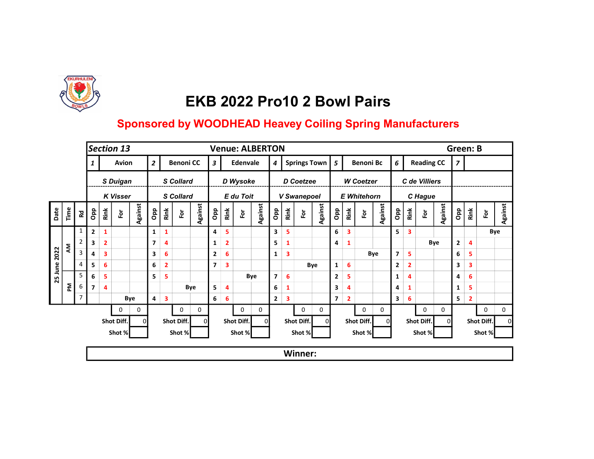

|                 |      |                |                                                                    |                | Section 13      |                |                |                         |                         |          |                         |                         |            | <b>Venue: ALBERTON</b>  |                     |      |                |                         |                         |                    |            |         |                         |                |                      |         | <b>Green: B</b> |              |               |         |
|-----------------|------|----------------|--------------------------------------------------------------------|----------------|-----------------|----------------|----------------|-------------------------|-------------------------|----------|-------------------------|-------------------------|------------|-------------------------|---------------------|------|----------------|-------------------------|-------------------------|--------------------|------------|---------|-------------------------|----------------|----------------------|---------|-----------------|--------------|---------------|---------|
|                 |      |                |                                                                    |                | Avion           |                | $\overline{2}$ | <b>Benoni CC</b>        |                         |          |                         |                         | Edenvale   |                         | Springs Town 5<br>4 |      |                |                         |                         | <b>Benoni Bc</b>   |            |         | 6                       |                | <b>Reading CC</b>    |         | $\overline{z}$  |              |               |         |
|                 |      |                |                                                                    |                | S Duigan        |                |                |                         | <b>S</b> Collard        |          |                         |                         | D Wysoke   |                         |                     |      | D Coetzee      |                         |                         | <b>W</b> Coetzer   |            |         |                         |                | C de Villiers        |         |                 |              |               |         |
|                 |      |                |                                                                    |                | <b>K Visser</b> |                |                |                         | <b>S</b> Collard        |          |                         |                         | E du Toit  |                         |                     |      | V Swanepoel    |                         |                         | <b>E</b> Whitehorn |            |         |                         |                | C Hague              |         |                 |              |               |         |
| Date            | Time | <b>Rd</b>      | Opp                                                                | Rink           | 应               | <b>Against</b> | <b>a</b> p     | Rink                    | $\overline{\mathbf{e}}$ | Against  | Opp                     | Rink                    | 호          | <b>Against</b>          | Opp                 | Rink | $\bf \bar{e}$  | Against                 | Opp                     | Rink               | 효          | Against | Opp                     | Rink           | $\tilde{\mathbf{p}}$ | Against | Opp             | Rink         | $\bf \bar{e}$ | Against |
|                 |      | 1              | $\mathbf{2}$                                                       | 1              |                 |                | 1              | $\mathbf{1}$            |                         |          | 4                       | 5                       |            |                         | 3                   | 5    |                |                         | 6                       | 3                  |            |         | 5.                      | 3              |                      |         |                 |              |               | Bye     |
|                 | ξ    | $\overline{2}$ | 3                                                                  | $\overline{2}$ |                 |                | $\overline{ }$ | 4                       |                         |          | $\mathbf{1}$            | $\overline{\mathbf{2}}$ |            |                         | 5                   | 1    |                |                         | 4                       | $\mathbf{1}$       |            |         |                         |                |                      | Bye     | $\mathbf{2}$    | 4            |               |         |
| 2022<br>25 June |      | 3              | 4                                                                  | 3              |                 |                | 3              | 6                       |                         |          | $\mathbf{2}$            | 6                       |            |                         | $\mathbf{1}$        | 3    |                |                         |                         |                    |            | Bye     | $\overline{\mathbf{z}}$ | 5              |                      |         | 6               | 5            |               |         |
|                 |      | $\overline{4}$ | 5                                                                  | 6              |                 |                | 6              | $\overline{\mathbf{2}}$ |                         |          | $\overline{\mathbf{z}}$ | 3                       |            |                         |                     |      |                | Bye                     | $\mathbf{1}$            | 6                  |            |         | 2                       | $\overline{2}$ |                      |         | 3               | 3            |               |         |
|                 |      | 5              | 6<br>5                                                             |                |                 | 5              | 5              |                         |                         |          |                         |                         | Bye        | $\overline{\mathbf{z}}$ | 6                   |      |                | $\overline{\mathbf{2}}$ | 5                       |                    |            | 1       | $\overline{4}$          |                |                      | 4       | 6               |              |               |         |
|                 | 론    | 6              | $\overline{\phantom{a}}$                                           | 4              |                 |                |                |                         |                         | Bye      | 5                       | 4                       |            |                         | 6                   | 1    |                |                         | 3                       | 4                  |            |         | 4                       | 1              |                      |         | $\mathbf{1}$    | 5            |               |         |
|                 |      | 7              |                                                                    |                |                 | Bye            | 4              | $\overline{\mathbf{3}}$ |                         |          | 6                       | 6                       |            |                         | $\mathbf{2}$        | 3    |                |                         | $\overline{\mathbf{z}}$ | $\overline{2}$     |            |         | 3                       | 6              |                      |         | 5               | $\mathbf{2}$ |               |         |
|                 |      |                |                                                                    |                | 0               | 0              |                |                         | $\mathbf 0$             | 0        |                         |                         | 0          | 0                       |                     |      | $\mathbf{0}$   | 0                       |                         |                    | 0          | 0       |                         |                | $\mathbf 0$          | 0       |                 |              | $\mathbf 0$   | 0       |
|                 |      |                |                                                                    |                | Shot Diff.      | $\Omega$       |                |                         | Shot Diff.              | $\Omega$ |                         |                         | Shot Diff. | 0                       |                     |      | Shot Diff.     |                         |                         |                    | Shot Diff. | ΩI      |                         |                | Shot Diff.           | ΩI      |                 |              | Shot Diff.    |         |
|                 |      |                | Shot %<br>Shot %<br>Shot %<br>Shot %<br>Shot %<br>Shot %<br>Shot % |                |                 |                |                |                         |                         |          |                         |                         |            |                         |                     |      |                |                         |                         |                    |            |         |                         |                |                      |         |                 |              |               |         |
|                 |      |                |                                                                    |                |                 |                |                |                         |                         |          |                         |                         |            |                         |                     |      | <b>Winner:</b> |                         |                         |                    |            |         |                         |                |                      |         |                 |              |               |         |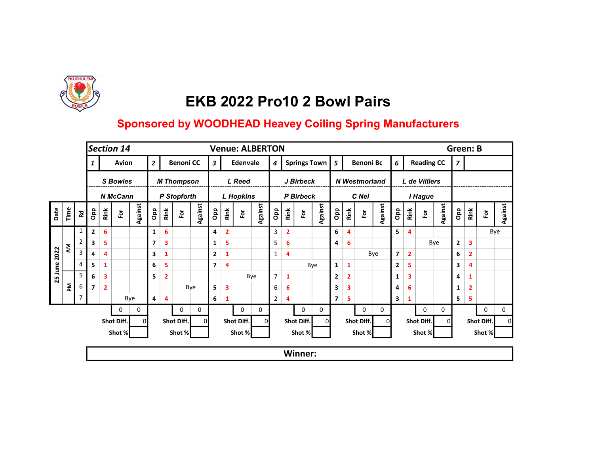

|                    |      |                                                                    | Section 14<br><b>Green: B</b><br><b>Venue: ALBERTON</b> |                |                 |                |                |                         |                         |                |                |                         |                  |                |                       |                |                         |         |                |                  |               |     |         |                |                   |            |                |              |                |             |         |
|--------------------|------|--------------------------------------------------------------------|---------------------------------------------------------|----------------|-----------------|----------------|----------------|-------------------------|-------------------------|----------------|----------------|-------------------------|------------------|----------------|-----------------------|----------------|-------------------------|---------|----------------|------------------|---------------|-----|---------|----------------|-------------------|------------|----------------|--------------|----------------|-------------|---------|
|                    |      |                                                                    |                                                         |                | Avion           |                | $\overline{2}$ | <b>Benoni CC</b>        |                         |                |                |                         | Edenvale         |                | Springs Town   5<br>4 |                |                         |         |                | <b>Benoni Bc</b> |               |     | 6       |                | <b>Reading CC</b> |            | $\overline{z}$ |              |                |             |         |
|                    |      |                                                                    |                                                         |                | <b>S</b> Bowles |                |                |                         | <b>M Thompson</b>       |                |                |                         | L Reed           |                | J Birbeck             |                |                         |         |                |                  | N Westmorland |     |         | L de Villiers  |                   |            |                |              |                |             |         |
|                    |      |                                                                    |                                                         |                | <b>N</b> McCann |                |                |                         | P Stopforth             |                |                |                         | <b>L</b> Hopkins |                | P Birbeck             |                |                         |         |                | C Nel            |               |     |         |                |                   | I Hague    |                |              |                |             |         |
| Date               | Time | <b>Rd</b>                                                          | Opp                                                     | Rink           | 应               | <b>Against</b> | <b>a</b> p     | Rink                    | $\overline{\mathbf{e}}$ | <b>Against</b> | <b>Opp</b>     | Rink                    | 호                | <b>Against</b> | <b>a</b> p            | Rink           | $\overline{\mathbf{e}}$ | Against | <b>a</b> dO    | Rink             | $\bf \bar{e}$ |     | Against | <b>a</b> do    | Rink              | è          | Against        | <b>ado</b>   | Rink           | For         | Against |
|                    |      | 1                                                                  | $\overline{2}$                                          | 6              |                 |                | 1              | 6                       |                         |                | 4              | $\overline{\mathbf{2}}$ |                  |                | 3                     | $\overline{2}$ |                         |         | 6              | 4                |               |     |         | 5              | $\overline{4}$    |            |                |              |                |             | Bye     |
|                    | ξ    | $\overline{2}$                                                     | 3                                                       | 5              |                 |                | 7              | $\overline{\mathbf{3}}$ |                         |                | 1              | 5                       |                  |                | 5                     | 6              |                         |         | 4              | 6                |               |     |         |                |                   |            | Bye            | $\mathbf{2}$ | 3              |             |         |
| 2022<br>June<br>25 |      | 3                                                                  | 4                                                       | 4              |                 |                | 3              | 1                       |                         |                | $\mathbf{2}$   | 1                       |                  |                | $\mathbf{1}$          | 4              |                         |         |                |                  |               | Bye |         | $\overline{7}$ | $\overline{2}$    |            |                | 6            | $\overline{2}$ |             |         |
|                    |      | $\overline{4}$                                                     | 5                                                       | 1              |                 |                | 6              | 5                       |                         |                | $\overline{7}$ | 4                       |                  |                |                       |                |                         | Bye     | $\mathbf{1}$   | $\mathbf{1}$     |               |     |         | 2              | 5                 |            |                | 3            | 4              |             |         |
|                    |      | 5                                                                  | 6                                                       | 3              |                 |                | 5              | $\overline{2}$          |                         |                |                |                         |                  | Bye            | $\overline{7}$        | $\mathbf{1}$   |                         |         | $\overline{2}$ | $\overline{2}$   |               |     |         | 1              | 3                 |            |                | 4            | 1              |             |         |
|                    | 론    | 6                                                                  | $\overline{7}$                                          | $\overline{2}$ |                 |                |                |                         |                         | Bye            | 5              | 3                       |                  |                | 6                     | 6              |                         |         | 3              | 3                |               |     |         | 4              | 6                 |            |                | 1            | $\mathbf{2}$   |             |         |
|                    |      | $\overline{7}$                                                     |                                                         |                |                 | Bye            | 4              | $\overline{4}$          |                         |                | 6              | 1                       |                  |                | 2                     | 4              |                         |         | $\overline{ }$ | 5                |               |     |         | 3              | 1                 |            |                | 5            | 5              |             |         |
|                    |      |                                                                    |                                                         |                | 0               | 0              |                |                         | 0                       | 0              |                |                         | 0                | 0              |                       |                | 0                       | 0       |                |                  | 0             |     | 0       |                |                   | 0          | 0              |              |                | $\mathbf 0$ | 0       |
|                    |      |                                                                    |                                                         |                | Shot Diff.      | $\Omega$       |                |                         | Shot Diff.              | 01             |                |                         | Shot Diff.       | ΩI             |                       |                | Shot Diff.              |         |                |                  | Shot Diff.    |     | ΩI      |                |                   | Shot Diff. | $\Omega$       |              |                | Shot Diff.  |         |
|                    |      | Shot %<br>Shot %<br>Shot %<br>Shot %<br>Shot %<br>Shot %<br>Shot % |                                                         |                |                 |                |                |                         |                         |                |                |                         |                  |                |                       |                |                         |         |                |                  |               |     |         |                |                   |            |                |              |                |             |         |
|                    |      |                                                                    |                                                         |                |                 |                |                |                         |                         |                |                |                         |                  |                |                       |                | Winner:                 |         |                |                  |               |     |         |                |                   |            |                |              |                |             |         |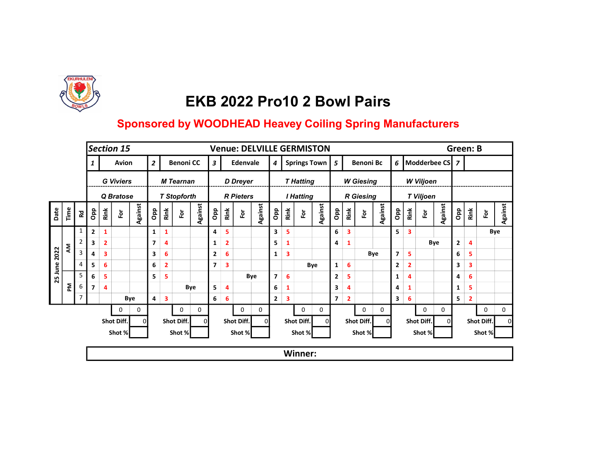

|                         |      |              |                                                                    |                | <b>Section 15</b> |                |                |                         |                         |         |                |                | <b>Venue: DELVILLE GERMISTON</b> |                |                  |      |                  |              |                         |                |                  |         |                         |                         |                         |                | <b>Green: B</b> |              |               |         |
|-------------------------|------|--------------|--------------------------------------------------------------------|----------------|-------------------|----------------|----------------|-------------------------|-------------------------|---------|----------------|----------------|----------------------------------|----------------|------------------|------|------------------|--------------|-------------------------|----------------|------------------|---------|-------------------------|-------------------------|-------------------------|----------------|-----------------|--------------|---------------|---------|
|                         |      |              |                                                                    |                | Avion             |                | $\overline{2}$ |                         | <b>Benoni CC</b>        |         | $\mathbf{3}$   |                | Edenvale                         |                | $\boldsymbol{4}$ |      |                  | Springs Town | 5                       |                | <b>Benoni Bc</b> |         |                         |                         | 6   Modderbee CS   7    |                |                 |              |               |         |
|                         |      |              |                                                                    |                | <b>G</b> Viviers  |                |                |                         | <b>M</b> Tearnan        |         |                |                | <b>D</b> Dreyer                  |                |                  |      | <b>T</b> Hatting |              |                         |                | <b>W</b> Giesing |         |                         |                         | <b>W</b> Viljoen        |                |                 |              |               |         |
|                         |      |              |                                                                    |                | Q Bratose         |                |                |                         | <b>T Stopforth</b>      |         |                |                | <b>R</b> Pieters                 |                |                  |      | <b>I Hatting</b> |              |                         |                | <b>R</b> Giesing |         |                         |                         | <b>T Viljoen</b>        |                |                 |              |               |         |
| Date                    | Time | <b>R</b>     | Opp                                                                | Rink           | $\bf \bar{e}$     | <b>Against</b> | Opp            | Rink                    | $\overline{\mathsf{P}}$ | Against | Opp            | Rink           | $\overline{\tilde{c}}$           | <b>Against</b> | <b>a</b> p       | Rink | $\bf \bar{e}$    | Against      | Opp                     | Rink           | 훈                | Against | Opp                     | Rink                    | $\overline{\mathbf{e}}$ | <b>Against</b> | <b>Opp</b>      | Rink         | $\bf \bar{e}$ | Against |
|                         |      | $\mathbf{1}$ | $\overline{2}$                                                     | 1              |                   |                | 1              | $\mathbf{1}$            |                         |         | 4              | 5              |                                  |                | 3                | 5    |                  |              | 6                       | 3              |                  |         | 5.                      | $\overline{\mathbf{3}}$ |                         |                |                 |              |               | Bye     |
| ξ<br>2022<br>June<br>25 |      |              | 3                                                                  | $\overline{2}$ |                   |                | $\overline{ }$ | $\overline{4}$          |                         |         | 1              | $\overline{2}$ |                                  |                | 5                | 1    |                  |              | 4                       | $\mathbf{1}$   |                  |         |                         |                         |                         | Bye            | $\mathbf{2}$    | 4            |               |         |
|                         |      | 3            | 4                                                                  | 3              |                   |                | 3              | 6                       |                         |         | $\mathbf{2}$   | 6              |                                  |                | $\mathbf{1}$     | 3    |                  |              |                         |                |                  | Bye     | $\overline{\mathbf{z}}$ | 5                       |                         |                | 6               | 5            |               |         |
|                         |      | 4            | 5                                                                  | 6              |                   |                | 6              | $\overline{2}$          |                         |         | $\overline{7}$ | 3              |                                  |                |                  |      |                  | Bye          | 1                       | 6              |                  |         | $\mathbf{2}$            | $\overline{2}$          |                         |                | 3               | 3            |               |         |
|                         |      | 5            | 6                                                                  | 5              |                   |                | 5              | 5                       |                         |         |                |                | Bye                              |                | $\overline{7}$   | 6    |                  |              | $\mathbf{2}$            | 5              |                  |         | 1                       | 4                       |                         |                | 4               | 6            |               |         |
|                         | 혼    | 6            | $\overline{ }$                                                     | 4              |                   |                |                |                         |                         | Bye     | 5              | 4              |                                  |                | 6                | 1    |                  |              | 3                       | 4              |                  |         | 4                       | 1                       |                         |                | $\mathbf{1}$    | 5            |               |         |
|                         |      | 7            |                                                                    |                |                   | Bye            | 4              | $\overline{\mathbf{3}}$ |                         |         | 6              | 6              |                                  |                | $\mathbf{2}$     | 3    |                  |              | $\overline{\mathbf{z}}$ | $\overline{2}$ |                  |         | 3                       | 6                       |                         |                | 5               | $\mathbf{2}$ |               |         |
|                         |      |              |                                                                    |                | 0                 | 0              |                |                         | 0                       | 0       |                |                | 0                                | 0              |                  |      | $\mathbf 0$      | 0            |                         |                | 0                | 0       |                         |                         | $\mathbf{0}$            | 0              |                 |              | $\mathbf 0$   | 0       |
|                         |      |              |                                                                    |                | Shot Diff.        | $\Omega$       |                |                         | Shot Diff.              | ΟI      |                |                | Shot Diff.                       | ΩI             |                  |      | Shot Diff.       |              |                         |                | Shot Diff.       | ΩI      |                         |                         | Shot Diff.              | ΩI             |                 |              | Shot Diff.    |         |
|                         |      |              | Shot %<br>Shot %<br>Shot %<br>Shot %<br>Shot %<br>Shot %<br>Shot % |                |                   |                |                |                         |                         |         |                |                |                                  |                |                  |      |                  |              |                         |                |                  |         |                         |                         |                         |                |                 |              |               |         |
|                         |      |              |                                                                    |                |                   |                |                |                         |                         |         |                |                |                                  |                |                  |      | <b>Winner:</b>   |              |                         |                |                  |         |                         |                         |                         |                |                 |              |               |         |